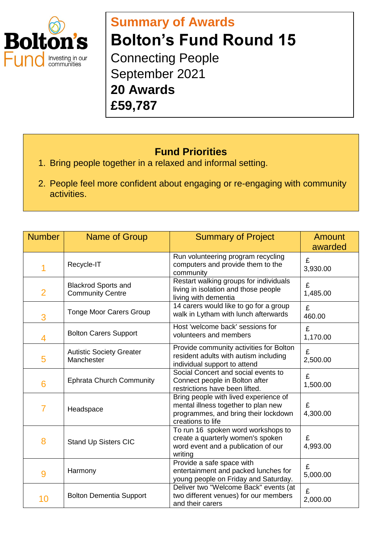

## **Summary of Awards Bolton's Fund Round 15** Connecting People September 2021

**20 Awards £59,787**

## **Fund Priorities**

- 1. Bring people together in a relaxed and informal setting.
- 2. People feel more confident about engaging or re-engaging with community activities.

| <b>Number</b>  | Name of Group                                         | <b>Summary of Project</b>                                                                                                                 | Amount<br>awarded |
|----------------|-------------------------------------------------------|-------------------------------------------------------------------------------------------------------------------------------------------|-------------------|
| 1              | Recycle-IT                                            | Run volunteering program recycling<br>computers and provide them to the<br>community                                                      | £<br>3,930.00     |
| $\overline{2}$ | <b>Blackrod Sports and</b><br><b>Community Centre</b> | Restart walking groups for individuals<br>living in isolation and those people<br>living with dementia                                    | £<br>1,485.00     |
| 3              | <b>Tonge Moor Carers Group</b>                        | 14 carers would like to go for a group<br>walk in Lytham with lunch afterwards                                                            | £<br>460.00       |
| 4              | <b>Bolton Carers Support</b>                          | Host 'welcome back' sessions for<br>volunteers and members                                                                                | £<br>1,170.00     |
| 5              | <b>Autistic Society Greater</b><br>Manchester         | Provide community activities for Bolton<br>resident adults with autism including<br>individual support to attend                          | £<br>2,500.00     |
| 6              | <b>Ephrata Church Community</b>                       | Social Concert and social events to<br>Connect people in Bolton after<br>restrictions have been lifted.                                   | £<br>1,500.00     |
| $\overline{7}$ | Headspace                                             | Bring people with lived experience of<br>mental illness together to plan new<br>programmes, and bring their lockdown<br>creations to life | £<br>4,300.00     |
| 8              | <b>Stand Up Sisters CIC</b>                           | To run 16 spoken word workshops to<br>create a quarterly women's spoken<br>word event and a publication of our<br>writing                 | £<br>4,993.00     |
| 9              | Harmony                                               | Provide a safe space with<br>entertainment and packed lunches for<br>young people on Friday and Saturday.                                 | £<br>5,000.00     |
| 10             | <b>Bolton Dementia Support</b>                        | Deliver two "Welcome Back" events (at<br>two different venues) for our members<br>and their carers                                        | £<br>2,000.00     |